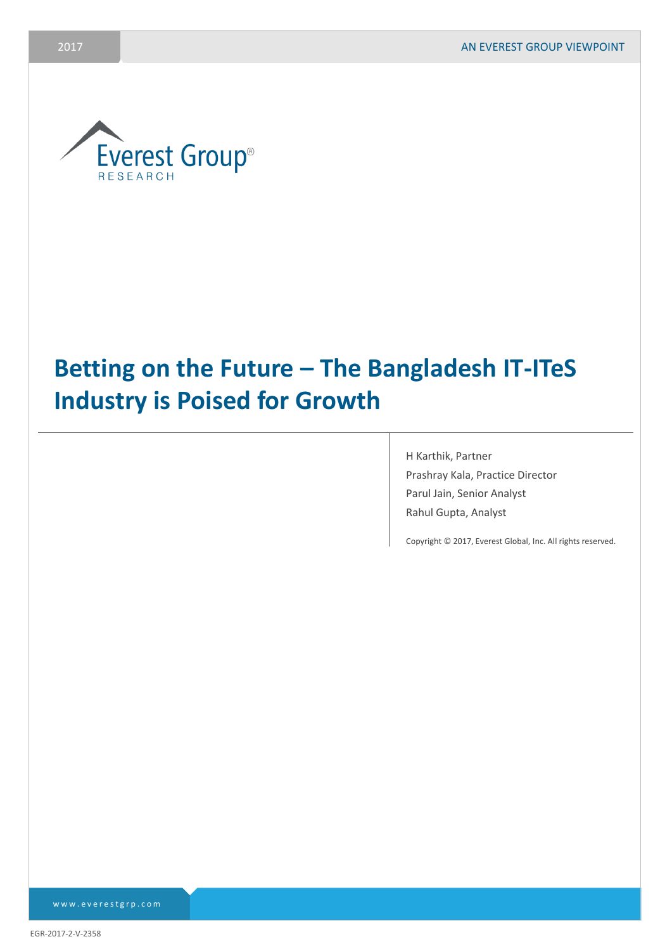

# **Betting on the Future – The Bangladesh IT-ITeS Industry is Poised for Growth**

H Karthik, Partner Prashray Kala, Practice Director Parul Jain, Senior Analyst Rahul Gupta, Analyst

Copyright © 2017, Everest Global, Inc. All rights reserved.

www.everestgrp.com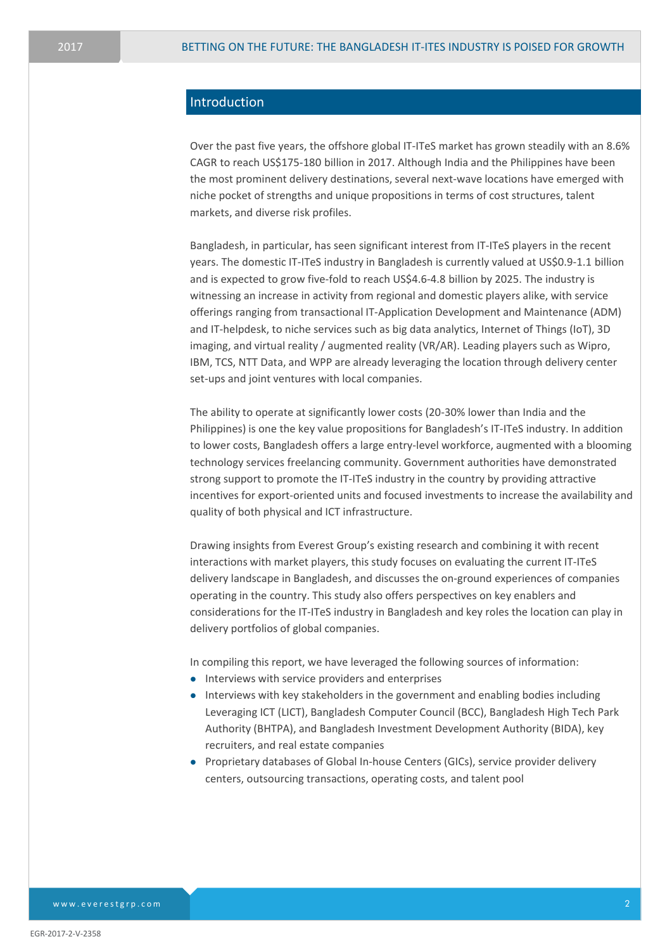# Introduction

Over the past five years, the offshore global IT-ITeS market has grown steadily with an 8.6% CAGR to reach US\$175-180 billion in 2017. Although India and the Philippines have been the most prominent delivery destinations, several next-wave locations have emerged with niche pocket of strengths and unique propositions in terms of cost structures, talent markets, and diverse risk profiles.

Bangladesh, in particular, has seen significant interest from IT-ITeS players in the recent years. The domestic IT-ITeS industry in Bangladesh is currently valued at US\$0.9-1.1 billion and is expected to grow five-fold to reach US\$4.6-4.8 billion by 2025. The industry is witnessing an increase in activity from regional and domestic players alike, with service offerings ranging from transactional IT-Application Development and Maintenance (ADM) and IT-helpdesk, to niche services such as big data analytics, Internet of Things (IoT), 3D imaging, and virtual reality / augmented reality (VR/AR). Leading players such as Wipro, IBM, TCS, NTT Data, and WPP are already leveraging the location through delivery center set-ups and joint ventures with local companies.

The ability to operate at significantly lower costs (20-30% lower than India and the Philippines) is one the key value propositions for Bangladesh's IT-ITeS industry. In addition to lower costs, Bangladesh offers a large entry-level workforce, augmented with a blooming technology services freelancing community. Government authorities have demonstrated strong support to promote the IT-ITeS industry in the country by providing attractive incentives for export-oriented units and focused investments to increase the availability and quality of both physical and ICT infrastructure.

Drawing insights from Everest Group's existing research and combining it with recent interactions with market players, this study focuses on evaluating the current IT-ITeS delivery landscape in Bangladesh, and discusses the on-ground experiences of companies operating in the country. This study also offers perspectives on key enablers and considerations for the IT-ITeS industry in Bangladesh and key roles the location can play in delivery portfolios of global companies.

In compiling this report, we have leveraged the following sources of information:

- Interviews with service providers and enterprises
- Interviews with key stakeholders in the government and enabling bodies including Leveraging ICT (LICT), Bangladesh Computer Council (BCC), Bangladesh High Tech Park Authority (BHTPA), and Bangladesh Investment Development Authority (BIDA), key recruiters, and real estate companies
- Proprietary databases of Global In-house Centers (GICs), service provider delivery centers, outsourcing transactions, operating costs, and talent pool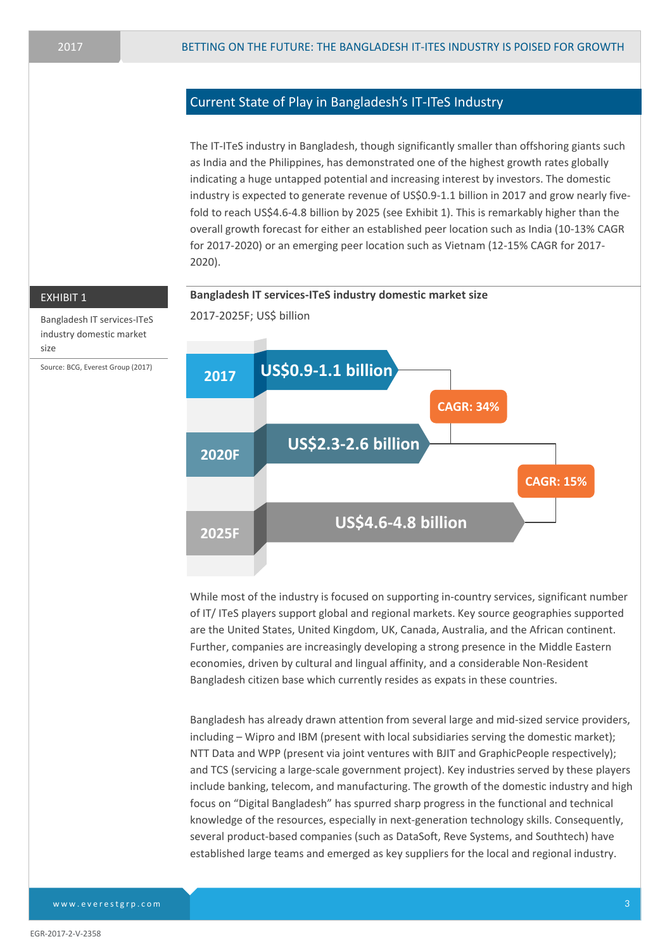# Current State of Play in Bangladesh's IT-ITeS Industry

The IT-ITeS industry in Bangladesh, though significantly smaller than offshoring giants such as India and the Philippines, has demonstrated one of the highest growth rates globally indicating a huge untapped potential and increasing interest by investors. The domestic industry is expected to generate revenue of US\$0.9-1.1 billion in 2017 and grow nearly fivefold to reach US\$4.6-4.8 billion by 2025 (see Exhibit 1). This is remarkably higher than the overall growth forecast for either an established peer location such as India (10-13% CAGR for 2017-2020) or an emerging peer location such as Vietnam (12-15% CAGR for 2017- 2020).



While most of the industry is focused on supporting in-country services, significant number of IT/ ITeS players support global and regional markets. Key source geographies supported are the United States, United Kingdom, UK, Canada, Australia, and the African continent. Further, companies are increasingly developing a strong presence in the Middle Eastern economies, driven by cultural and lingual affinity, and a considerable Non-Resident Bangladesh citizen base which currently resides as expats in these countries.

Bangladesh has already drawn attention from several large and mid-sized service providers, including – Wipro and IBM (present with local subsidiaries serving the domestic market); NTT Data and WPP (present via joint ventures with BJIT and GraphicPeople respectively); and TCS (servicing a large-scale government project). Key industries served by these players include banking, telecom, and manufacturing. The growth of the domestic industry and high focus on "Digital Bangladesh" has spurred sharp progress in the functional and technical knowledge of the resources, especially in next-generation technology skills. Consequently, several product-based companies (such as DataSoft, Reve Systems, and Southtech) have established large teams and emerged as key suppliers for the local and regional industry.

Bangladesh IT services-ITeS industry domestic market size

Source: BCG, Everest Group (2017)

www.everestgrp.com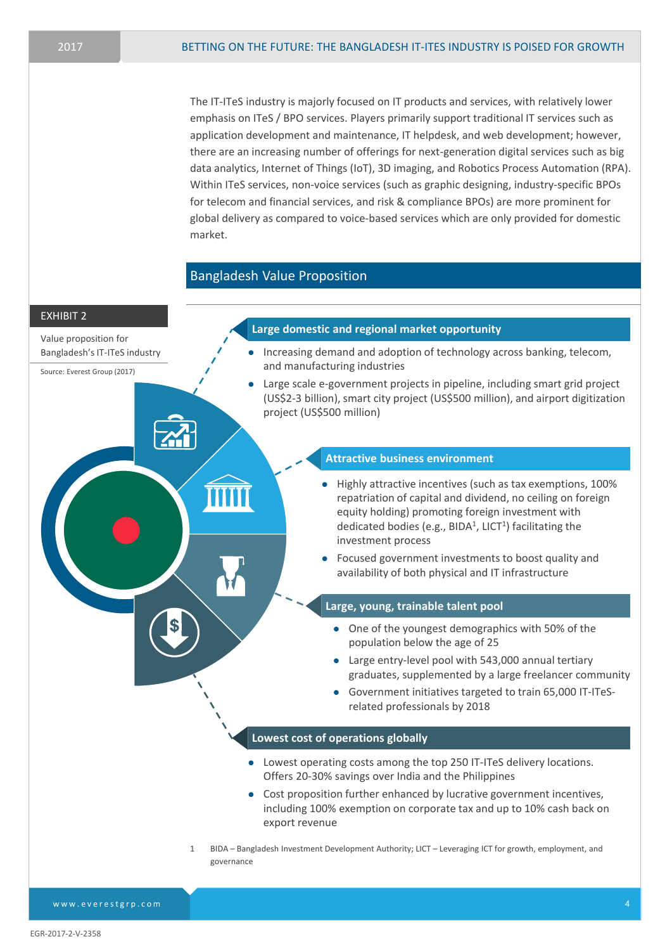The IT-ITeS industry is majorly focused on IT products and services, with relatively lower emphasis on ITeS / BPO services. Players primarily support traditional IT services such as application development and maintenance, IT helpdesk, and web development; however, there are an increasing number of offerings for next-generation digital services such as big data analytics, Internet of Things (IoT), 3D imaging, and Robotics Process Automation (RPA). Within ITeS services, non-voice services (such as graphic designing, industry-specific BPOs for telecom and financial services, and risk & compliance BPOs) are more prominent for global delivery as compared to voice-based services which are only provided for domestic market.

### Bangladesh Value Proposition



EGR-2017-2-V-2358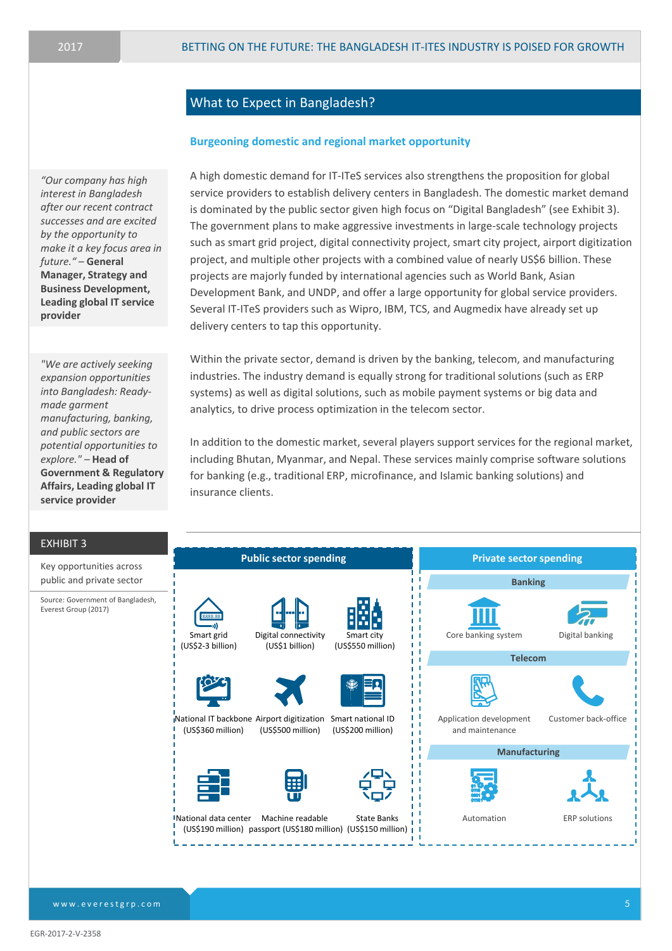A high domestic demand for IT-ITeS services also strengthens the proposition for global service providers to establish delivery centers in Bangladesh. The domestic market demand is dominated by the public sector given high focus on "Digital Bangladesh" (see Exhibit 3). The government plans to make aggressive investments in large-scale technology projects such as smart grid project, digital connectivity project, smart city project, airport digitization project, and multiple other projects with a combined value of nearly US\$6 billion. These

projects are majorly funded by international agencies such as World Bank, Asian

Development Bank, and UNDP, and offer a large opportunity for global service providers. Several IT-ITeS providers such as Wipro, IBM, TCS, and Augmedix have already set up

Within the private sector, demand is driven by the banking, telecom, and manufacturing industries. The industry demand is equally strong for traditional solutions (such as ERP systems) as well as digital solutions, such as mobile payment systems or big data and

In addition to the domestic market, several players support services for the regional market, including Bhutan, Myanmar, and Nepal. These services mainly comprise software solutions

for banking (e.g., traditional ERP, microfinance, and Islamic banking solutions) and

# What to Expect in Bangladesh?

delivery centers to tap this opportunity.

insurance clients.

#### **Burgeoning domestic and regional market opportunity**

analytics, to drive process optimization in the telecom sector.

*"Our company has high interest in Bangladesh after our recent contract successes and are excited by the opportunity to make it a key focus area in future." –* **General Manager, Strategy and Business Development, Leading global IT service provider**

*"We are actively seeking expansion opportunities into Bangladesh: Readymade garment manufacturing, banking, and public sectors are potential opportunities to explore." –* **Head of Government & Regulatory Affairs, Leading global IT service provider**

EXHIBIT 3

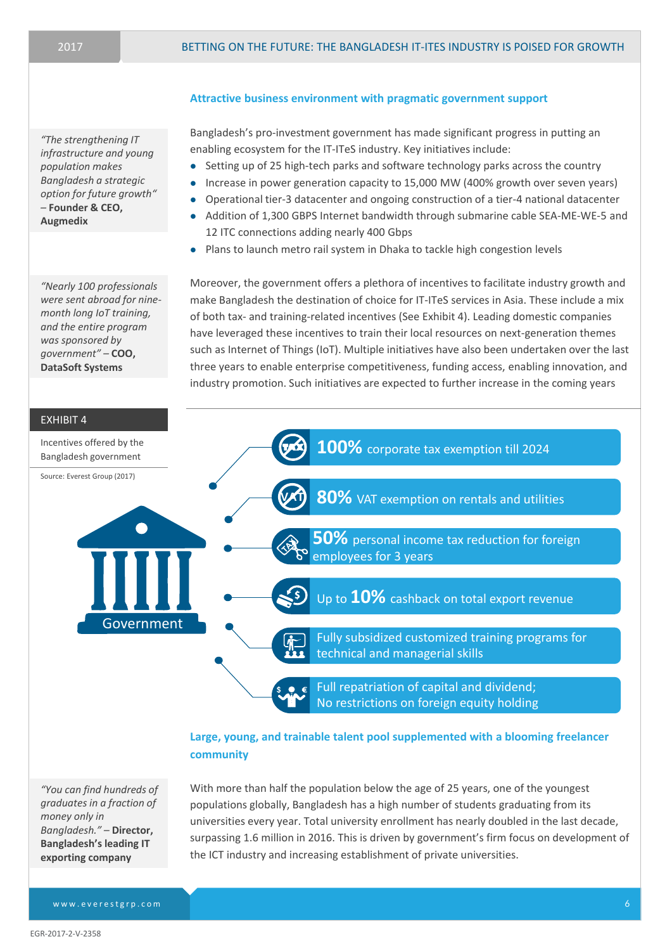*"The strengthening IT infrastructure and young population makes Bangladesh a strategic option for future growth" –* **Founder & CEO, Augmedix**

*"Nearly 100 professionals were sent abroad for ninemonth long IoT training, and the entire program was sponsored by government" –* **COO, DataSoft Systems**

### **Attractive business environment with pragmatic government support**

Bangladesh's pro-investment government has made significant progress in putting an enabling ecosystem for the IT-ITeS industry. Key initiatives include:

- Setting up of 25 high-tech parks and software technology parks across the country
- Increase in power generation capacity to 15,000 MW (400% growth over seven years)
- Operational tier-3 datacenter and ongoing construction of a tier-4 national datacenter
- Addition of 1,300 GBPS Internet bandwidth through submarine cable SEA-ME-WE-5 and 12 ITC connections adding nearly 400 Gbps
- Plans to launch metro rail system in Dhaka to tackle high congestion levels

Moreover, the government offers a plethora of incentives to facilitate industry growth and make Bangladesh the destination of choice for IT-ITeS services in Asia. These include a mix of both tax- and training-related incentives (See Exhibit 4). Leading domestic companies have leveraged these incentives to train their local resources on next-generation themes such as Internet of Things (IoT). Multiple initiatives have also been undertaken over the last three years to enable enterprise competitiveness, funding access, enabling innovation, and industry promotion. Such initiatives are expected to further increase in the coming years



**Large, young, and trainable talent pool supplemented with a blooming freelancer community**

*"You can find hundreds of graduates in a fraction of money only in Bangladesh." –* **Director, Bangladesh's leading IT exporting company**

With more than half the population below the age of 25 years, one of the youngest populations globally, Bangladesh has a high number of students graduating from its universities every year. Total university enrollment has nearly doubled in the last decade, surpassing 1.6 million in 2016. This is driven by government's firm focus on development of the ICT industry and increasing establishment of private universities.

www.everestgrp.com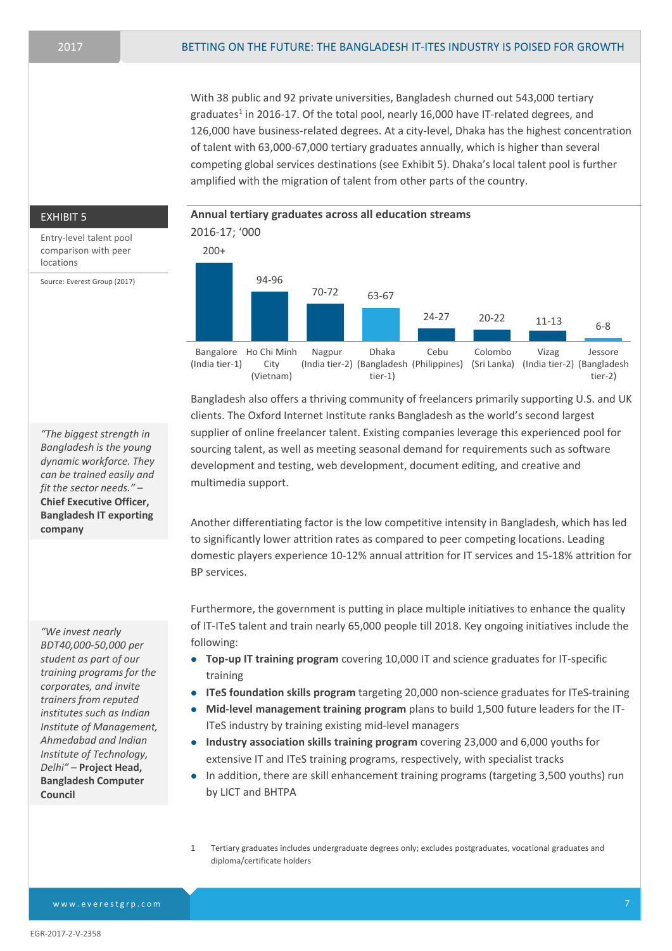With 38 public and 92 private universities, Bangladesh churned out 543,000 tertiary graduates<sup>1</sup> in 2016-17. Of the total pool, nearly 16,000 have IT-related degrees, and 126,000 have business-related degrees. At a city-level, Dhaka has the highest concentration of talent with 63,000-67,000 tertiary graduates annually, which is higher than several competing global services destinations (see Exhibit 5). Dhaka's local talent pool is further amplified with the migration of talent from other parts of the country.

comparison with peer locations

Source: Everest Group (2017)

EXHIBIT 5 **Annual tertiary graduates across all education streams** 2016-17; '000 Entry-level talent pool 200+ 94-96 70-72 63-67 24-27 20-22 11-13 6-8 Bangalore Ho Chi Minh (India tier-1) City (Vietnam) Nagpur (India tier-2) (Bangladesh (Philippines) (Sri Lanka) (India tier-2) (Bangladesh Dhaka tier-1) Cebu Colombo Vizag Jessore tier-2)

> Bangladesh also offers a thriving community of freelancers primarily supporting U.S. and UK clients. The Oxford Internet Institute ranks Bangladesh as the world's second largest supplier of online freelancer talent. Existing companies leverage this experienced pool for sourcing talent, as well as meeting seasonal demand for requirements such as software development and testing, web development, document editing, and creative and multimedia support.

> Another differentiating factor is the low competitive intensity in Bangladesh, which has led to significantly lower attrition rates as compared to peer competing locations. Leading domestic players experience 10-12% annual attrition for IT services and 15-18% attrition for BP services.

> Furthermore, the government is putting in place multiple initiatives to enhance the quality of IT-ITeS talent and train nearly 65,000 people till 2018. Key ongoing initiatives include the following:

- **Top-up IT training program** covering 10,000 IT and science graduates for IT-specific training
- **ITeS foundation skills program** targeting 20,000 non-science graduates for ITeS-training
- **Mid-level management training program** plans to build 1,500 future leaders for the IT-ITeS industry by training existing mid-level managers
- **Industry association skills training program** covering 23,000 and 6,000 youths for extensive IT and ITeS training programs, respectively, with specialist tracks
- In addition, there are skill enhancement training programs (targeting 3,500 youths) run by LICT and BHTPA
- 1 Tertiary graduates includes undergraduate degrees only; excludes postgraduates, vocational graduates and diploma/certificate holders

*"The biggest strength in Bangladesh is the young dynamic workforce. They can be trained easily and fit the sector needs."* – **Chief Executive Officer, Bangladesh IT exporting company**

*"We invest nearly BDT40,000-50,000 per student as part of our training programs for the corporates, and invite trainers from reputed institutes such as Indian Institute of Management, Ahmedabad and Indian Institute of Technology, Delhi" –* **Project Head, Bangladesh Computer Council**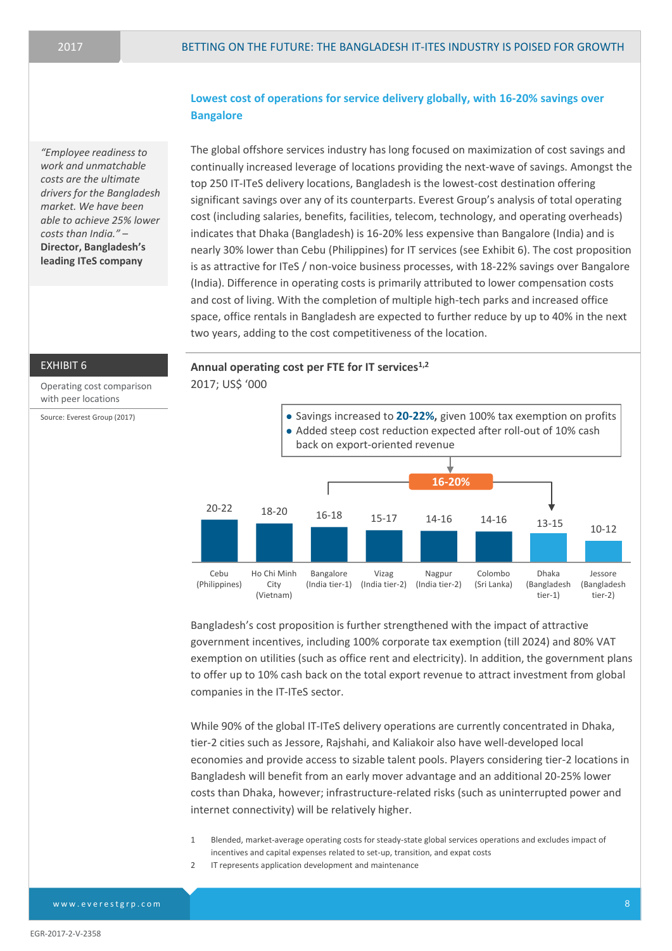*"Employee readiness to work and unmatchable costs are the ultimate drivers for the Bangladesh market. We have been able to achieve 25% lower costs than India."* – **Director, Bangladesh's leading ITeS company**

# **Lowest cost of operations for service delivery globally, with 16-20% savings over Bangalore**

The global offshore services industry has long focused on maximization of cost savings and continually increased leverage of locations providing the next-wave of savings. Amongst the top 250 IT-ITeS delivery locations, Bangladesh is the lowest-cost destination offering significant savings over any of its counterparts. Everest Group's analysis of total operating cost (including salaries, benefits, facilities, telecom, technology, and operating overheads) indicates that Dhaka (Bangladesh) is 16-20% less expensive than Bangalore (India) and is nearly 30% lower than Cebu (Philippines) for IT services (see Exhibit 6). The cost proposition is as attractive for ITeS / non-voice business processes, with 18-22% savings over Bangalore (India). Difference in operating costs is primarily attributed to lower compensation costs and cost of living. With the completion of multiple high-tech parks and increased office space, office rentals in Bangladesh are expected to further reduce by up to 40% in the next two years, adding to the cost competitiveness of the location.

#### EXHIBIT 6

Operating cost comparison with peer locations

Source: Everest Group (2017)

**Annual operating cost per FTE for IT services1,2** 2017; US\$ '000



Bangladesh's cost proposition is further strengthened with the impact of attractive government incentives, including 100% corporate tax exemption (till 2024) and 80% VAT exemption on utilities (such as office rent and electricity). In addition, the government plans to offer up to 10% cash back on the total export revenue to attract investment from global companies in the IT-ITeS sector.

While 90% of the global IT-ITeS delivery operations are currently concentrated in Dhaka, tier-2 cities such as Jessore, Rajshahi, and Kaliakoir also have well-developed local economies and provide access to sizable talent pools. Players considering tier-2 locations in Bangladesh will benefit from an early mover advantage and an additional 20-25% lower costs than Dhaka, however; infrastructure-related risks (such as uninterrupted power and internet connectivity) will be relatively higher.

- 1 Blended, market-average operating costs for steady-state global services operations and excludes impact of incentives and capital expenses related to set-up, transition, and expat costs
- 2 IT represents application development and maintenance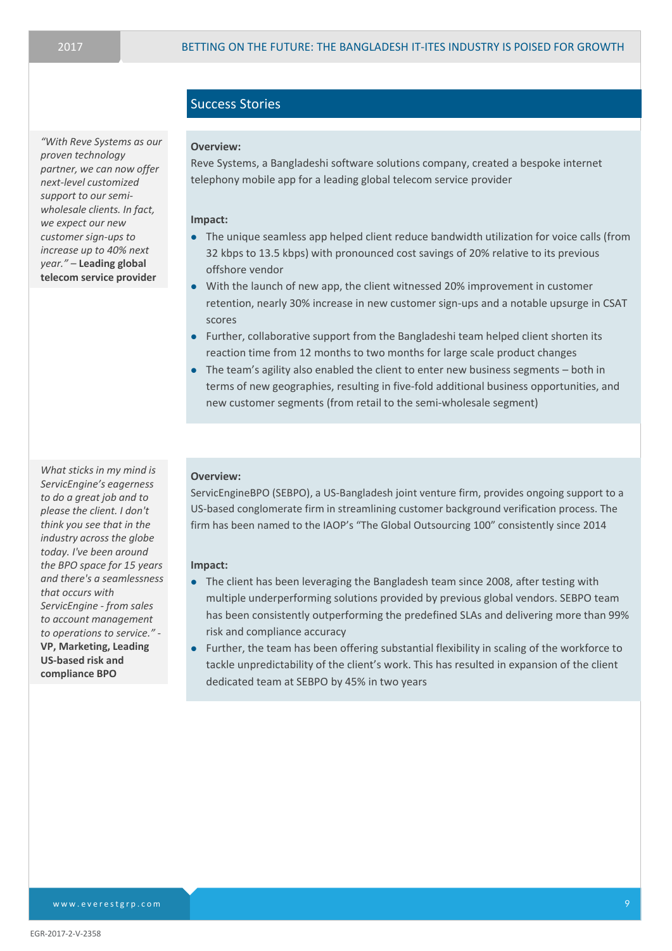*"With Reve Systems as our proven technology partner, we can now offer next-level customized support to our semiwholesale clients. In fact, we expect our new customer sign-ups to increase up to 40% next year." –* **Leading global telecom service provider**

# Success Stories

#### **Overview:**

Reve Systems, a Bangladeshi software solutions company, created a bespoke internet telephony mobile app for a leading global telecom service provider

#### **Impact:**

- The unique seamless app helped client reduce bandwidth utilization for voice calls (from 32 kbps to 13.5 kbps) with pronounced cost savings of 20% relative to its previous offshore vendor
- With the launch of new app, the client witnessed 20% improvement in customer retention, nearly 30% increase in new customer sign-ups and a notable upsurge in CSAT scores
- Further, collaborative support from the Bangladeshi team helped client shorten its reaction time from 12 months to two months for large scale product changes
- The team's agility also enabled the client to enter new business segments both in terms of new geographies, resulting in five-fold additional business opportunities, and new customer segments (from retail to the semi-wholesale segment)

*What sticks in my mind is ServicEngine's eagerness to do a great job and to please the client. I don't think you see that in the industry across the globe today. I've been around the BPO space for 15 years and there's a seamlessness that occurs with ServicEngine - from sales to account management to operations to service." -* **VP, Marketing, Leading US-based risk and compliance BPO**

#### **Overview:**

ServicEngineBPO (SEBPO), a US-Bangladesh joint venture firm, provides ongoing support to a US-based conglomerate firm in streamlining customer background verification process. The firm has been named to the IAOP's "The Global Outsourcing 100" consistently since 2014

#### **Impact:**

- The client has been leveraging the Bangladesh team since 2008, after testing with multiple underperforming solutions provided by previous global vendors. SEBPO team has been consistently outperforming the predefined SLAs and delivering more than 99% risk and compliance accuracy
- Further, the team has been offering substantial flexibility in scaling of the workforce to tackle unpredictability of the client's work. This has resulted in expansion of the client dedicated team at SEBPO by 45% in two years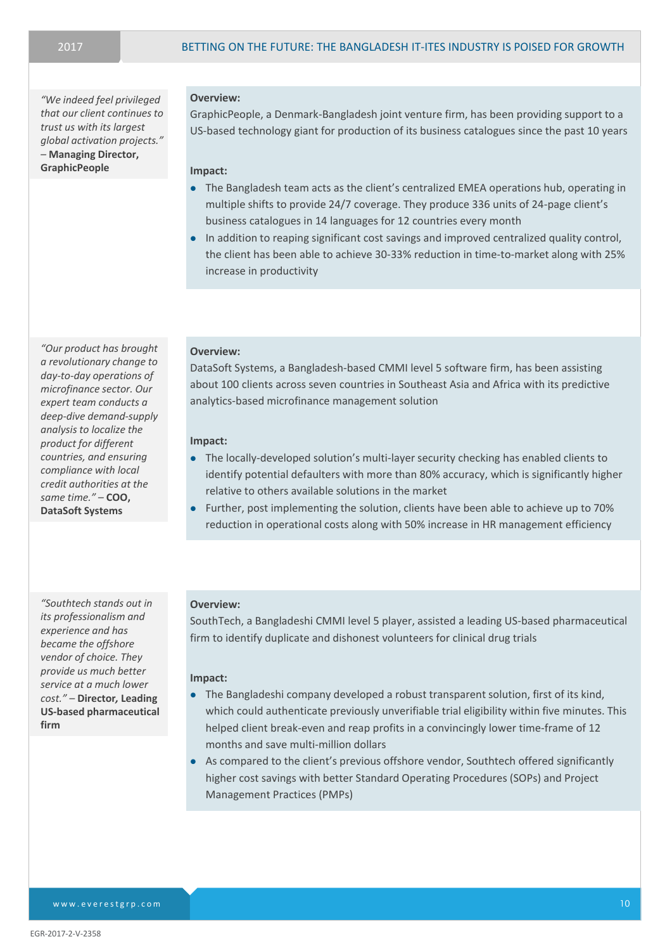*"We indeed feel privileged that our client continues to trust us with its largest global activation projects." –* **Managing Director, GraphicPeople**

**Overview:** 

GraphicPeople, a Denmark-Bangladesh joint venture firm, has been providing support to a US-based technology giant for production of its business catalogues since the past 10 years

#### **Impact:**

- The Bangladesh team acts as the client's centralized EMEA operations hub, operating in multiple shifts to provide 24/7 coverage. They produce 336 units of 24-page client's business catalogues in 14 languages for 12 countries every month
- In addition to reaping significant cost savings and improved centralized quality control, the client has been able to achieve 30-33% reduction in time-to-market along with 25% increase in productivity

#### **Overview:**

DataSoft Systems, a Bangladesh-based CMMI level 5 software firm, has been assisting about 100 clients across seven countries in Southeast Asia and Africa with its predictive analytics-based microfinance management solution

#### **Impact:**

- The locally-developed solution's multi-layer security checking has enabled clients to identify potential defaulters with more than 80% accuracy, which is significantly higher relative to others available solutions in the market
- Further, post implementing the solution, clients have been able to achieve up to 70% reduction in operational costs along with 50% increase in HR management efficiency

#### **Overview:**

SouthTech, a Bangladeshi CMMI level 5 player, assisted a leading US-based pharmaceutical firm to identify duplicate and dishonest volunteers for clinical drug trials

#### **Impact:**

- The Bangladeshi company developed a robust transparent solution, first of its kind, which could authenticate previously unverifiable trial eligibility within five minutes. This helped client break-even and reap profits in a convincingly lower time-frame of 12 months and save multi-million dollars
- As compared to the client's previous offshore vendor, Southtech offered significantly higher cost savings with better Standard Operating Procedures (SOPs) and Project Management Practices (PMPs)

*"Our product has brought a revolutionary change to day-to-day operations of microfinance sector. Our expert team conducts a deep-dive demand-supply analysis to localize the product for different countries, and ensuring compliance with local credit authorities at the same time." –* **COO, DataSoft Systems**

*"Southtech stands out in its professionalism and experience and has became the offshore vendor of choice. They provide us much better service at a much lower cost." –* **Director***,* **Leading US-based pharmaceutical firm**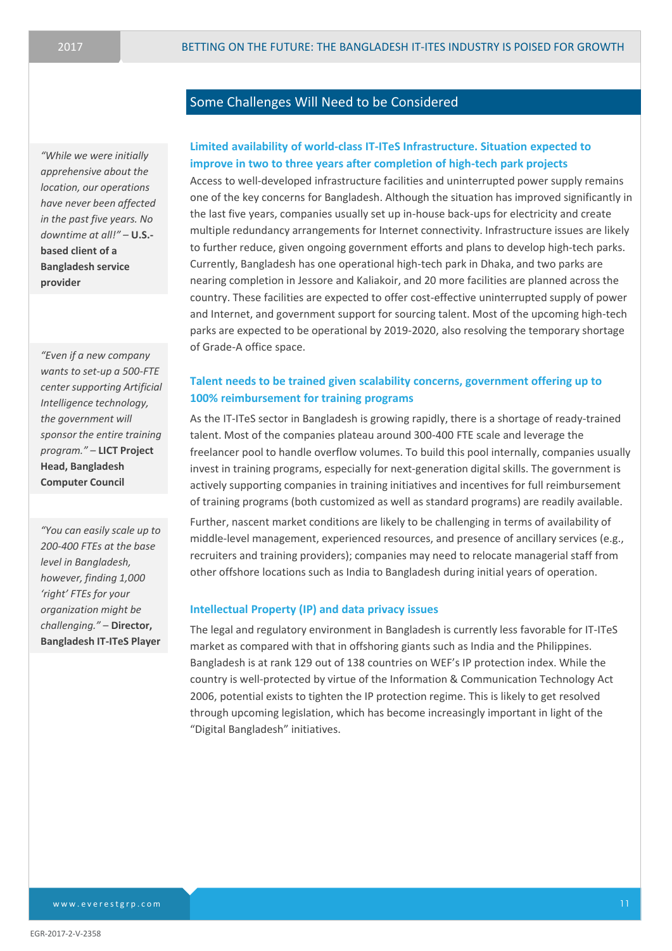*"While we were initially apprehensive about the location, our operations have never been affected in the past five years. No downtime at all!" –* **U.S. based client of a Bangladesh service provider**

*"Even if a new company wants to set-up a 500-FTE center supporting Artificial Intelligence technology, the government will sponsor the entire training program." –* **LICT Project Head, Bangladesh Computer Council**

*"You can easily scale up to 200-400 FTEs at the base level in Bangladesh, however, finding 1,000 'right' FTEs for your organization might be challenging."* – **Director, Bangladesh IT-ITeS Player**

# Some Challenges Will Need to be Considered

# **Limited availability of world-class IT-ITeS Infrastructure. Situation expected to improve in two to three years after completion of high-tech park projects**

Access to well-developed infrastructure facilities and uninterrupted power supply remains one of the key concerns for Bangladesh. Although the situation has improved significantly in the last five years, companies usually set up in-house back-ups for electricity and create multiple redundancy arrangements for Internet connectivity. Infrastructure issues are likely to further reduce, given ongoing government efforts and plans to develop high-tech parks. Currently, Bangladesh has one operational high-tech park in Dhaka, and two parks are nearing completion in Jessore and Kaliakoir, and 20 more facilities are planned across the country. These facilities are expected to offer cost-effective uninterrupted supply of power and Internet, and government support for sourcing talent. Most of the upcoming high-tech parks are expected to be operational by 2019-2020, also resolving the temporary shortage of Grade-A office space.

# **Talent needs to be trained given scalability concerns, government offering up to 100% reimbursement for training programs**

As the IT-ITeS sector in Bangladesh is growing rapidly, there is a shortage of ready-trained talent. Most of the companies plateau around 300-400 FTE scale and leverage the freelancer pool to handle overflow volumes. To build this pool internally, companies usually invest in training programs, especially for next-generation digital skills. The government is actively supporting companies in training initiatives and incentives for full reimbursement of training programs (both customized as well as standard programs) are readily available.

Further, nascent market conditions are likely to be challenging in terms of availability of middle-level management, experienced resources, and presence of ancillary services (e.g., recruiters and training providers); companies may need to relocate managerial staff from other offshore locations such as India to Bangladesh during initial years of operation.

### **Intellectual Property (IP) and data privacy issues**

The legal and regulatory environment in Bangladesh is currently less favorable for IT-ITeS market as compared with that in offshoring giants such as India and the Philippines. Bangladesh is at rank 129 out of 138 countries on WEF's IP protection index. While the country is well-protected by virtue of the Information & Communication Technology Act 2006, potential exists to tighten the IP protection regime. This is likely to get resolved through upcoming legislation, which has become increasingly important in light of the "Digital Bangladesh" initiatives.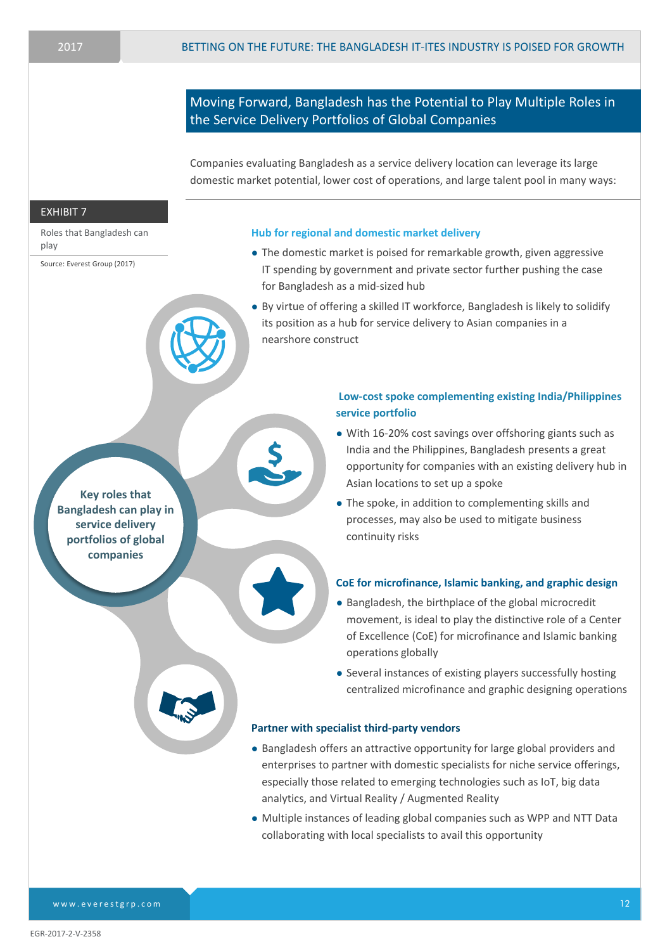# Moving Forward, Bangladesh has the Potential to Play Multiple Roles in the Service Delivery Portfolios of Global Companies

Companies evaluating Bangladesh as a service delivery location can leverage its large domestic market potential, lower cost of operations, and large talent pool in many ways:

#### EXHIBIT 7

Roles that Bangladesh can play

Source: Everest Group (2017)

#### **Hub for regional and domestic market delivery**

- The domestic market is poised for remarkable growth, given aggressive IT spending by government and private sector further pushing the case for Bangladesh as a mid-sized hub
- By virtue of offering a skilled IT workforce, Bangladesh is likely to solidify its position as a hub for service delivery to Asian companies in a nearshore construct

# **Key roles that Bangladesh can play in service delivery portfolios of global companies**

## **Low-cost spoke complementing existing India/Philippines service portfolio**

- With 16-20% cost savings over offshoring giants such as India and the Philippines, Bangladesh presents a great opportunity for companies with an existing delivery hub in Asian locations to set up a spoke
- The spoke, in addition to complementing skills and processes, may also be used to mitigate business continuity risks

#### **CoE for microfinance, Islamic banking, and graphic design**

- Bangladesh, the birthplace of the global microcredit movement, is ideal to play the distinctive role of a Center of Excellence (CoE) for microfinance and Islamic banking operations globally
- Several instances of existing players successfully hosting centralized microfinance and graphic designing operations

#### **Partner with specialist third-party vendors**

- Bangladesh offers an attractive opportunity for large global providers and enterprises to partner with domestic specialists for niche service offerings, especially those related to emerging technologies such as IoT, big data analytics, and Virtual Reality / Augmented Reality
- Multiple instances of leading global companies such as WPP and NTT Data collaborating with local specialists to avail this opportunity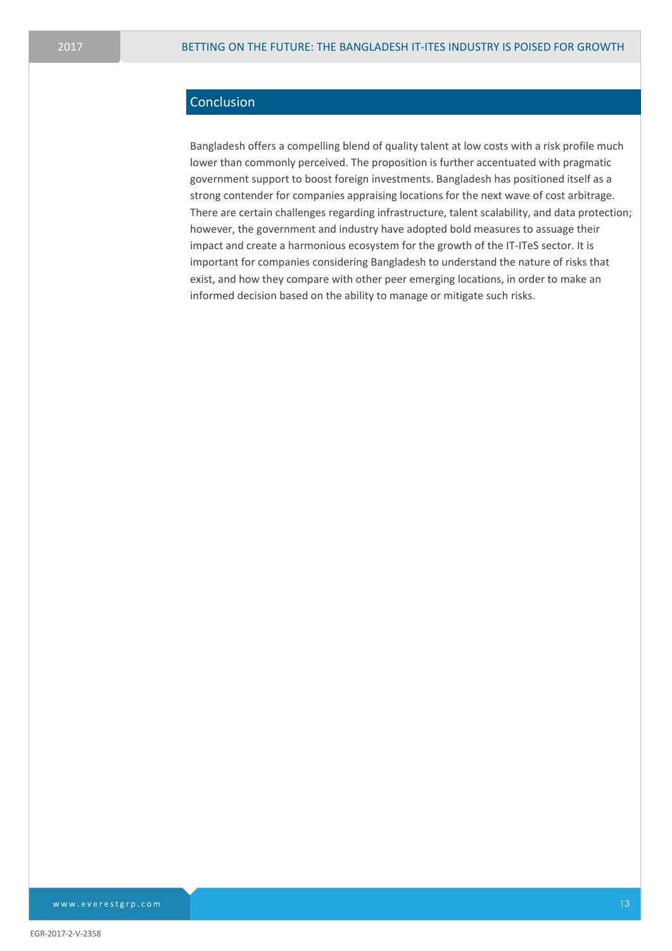# **Conclusion**

Bangladesh offers a compelling blend of quality talent at low costs with a risk profile much lower than commonly perceived. The proposition is further accentuated with pragmatic government support to boost foreign investments. Bangladesh has positioned itself as a strong contender for companies appraising locations for the next wave of cost arbitrage. There are certain challenges regarding infrastructure, talent scalability, and data protection; however, the government and industry have adopted bold measures to assuage their impact and create a harmonious ecosystem for the growth of the IT-ITeS sector. It is important for companies considering Bangladesh to understand the nature of risks that exist, and how they compare with other peer emerging locations, in order to make an informed decision based on the ability to manage or mitigate such risks.